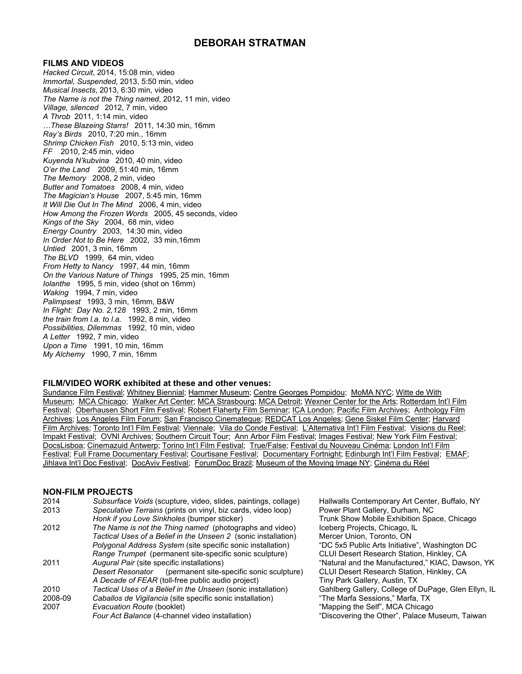## **DEBORAH STRATMAN**

#### **FILMS AND VIDEOS**

*Hacked Circuit*, 2014, 15:08 min, video *Immortal, Suspended,* 2013, 5:50 min, video *Musical Insects*, 2013, 6:30 min, video *The Name is not the Thing named*, 2012, 11 min, video *Village, silenced* 2012, 7 min, video *A Throb* 2011, 1:14 min, video *…These Blazeing Starrs!* 2011, 14:30 min, 16mm *Ray's Birds* 2010, 7:20 min., 16mm *Shrimp Chicken Fish* 2010, 5:13 min, video *FF* 2010, 2:45 min, video *Kuyenda N'kubvina* 2010, 40 min, video *O'er the Land* 2009, 51:40 min, 16mm *The Memory* 2008, 2 min, video *Butter and Tomatoes* 2008, 4 min, video *The Magician's House* 2007, 5:45 min, 16mm *It Will Die Out In The Mind* 2006, 4 min, video *How Among the Frozen Words* 2005, 45 seconds, video *Kings of the Sky* 2004, 68 min, video *Energy Country* 2003, 14:30 min, video *In Order Not to Be Here* 2002, 33 min,16mm *Untied* 2001, 3 min, 16mm *The BLVD* 1999, 64 min, video *From Hetty to Nancy* 1997, 44 min, 16mm *On the Various Nature of Things* 1995, 25 min, 16mm *Iolanthe* 1995, 5 min, video (shot on 16mm) *Waking* 1994, 7 min, video *Palimpsest* 1993, 3 min, 16mm, B&W *In Flight: Day No. 2,128* 1993, 2 min, 16mm *the train from l.a. to l.a.* 1992, 8 min, video *Possibilities, Dilemmas* 1992, 10 min, video *A Letter* 1992, 7 min, video *Upon a Time* 1991, 10 min, 16mm *My Alchemy* 1990, 7 min, 16mm

#### **FILM/VIDEO WORK exhibited at these and other venues:**

Sundance Film Festival; Whitney Biennial; Hammer Museum; Centre Georges Pompidou; MoMA NYC; Witte de With Museum; MCA Chicago; Walker Art Center; MCA Strasbourg; MCA Detroit; Wexner Center for the Arts; Rotterdam Int'l Film Festival; Oberhausen Short Film Festival; Robert Flaherty Film Seminar; ICA London; Pacific Film Archives; Anthology Film Archives; Los Angeles Film Forum; San Francisco Cinemateque; REDCAT Los Angeles; Gene Siskel Film Center; Harvard Film Archives; Toronto Int'l Film Festival; Viennale; Vila do Conde Festival; L'Alternativa Int'l Film Festival; Visions du Reel; Impakt Festival; OVNI Archives; Southern Circuit Tour; Ann Arbor Film Festival; Images Festival; New York Film Festival; DocsLisboa; Cinemazuid Antwerp; Torino Int'l Film Festival; True/False; Festival du Nouveau Cinéma; London Int'l Film Festival; Full Frame Documentary Festival; Courtisane Festival; Documentary Fortnight; Edinburgh Int'l Film Festival; EMAF; Jihlava Int'l Doc Festival; DocAviv Festival; ForumDoc Brazil; Museum of the Moving Image NY; Cinéma du Réel

#### **NON-FILM PROJECTS**

| 2014    | Subsurface Voids (scupture, video, slides, paintings, collage)     | Hallwalls Contemporary Art Center, Buffalo, NY      |
|---------|--------------------------------------------------------------------|-----------------------------------------------------|
| 2013    | Speculative Terrains (prints on vinyl, biz cards, video loop)      | Power Plant Gallery, Durham, NC                     |
|         | Honk if you Love Sinkholes (bumper sticker)                        | Trunk Show Mobile Exhibition Space, Chicago         |
| 2012    | The Name is not the Thing named (photographs and video)            | Iceberg Projects, Chicago, IL                       |
|         | Tactical Uses of a Belief in the Unseen 2 (sonic installation)     | Mercer Union, Toronto, ON                           |
|         | <i>Polygonal Address System (site specific sonic installation)</i> | "DC 5x5 Public Arts Initiative", Washington DC      |
|         | Range Trumpet (permanent site-specific sonic sculpture)            | CLUI Desert Research Station, Hinkley, CA           |
| 2011    | Augural Pair (site specific installations)                         | "Natural and the Manufactured," KIAC, Dawson, YK    |
|         | Desert Resonator (permanent site-specific sonic sculpture)         | CLUI Desert Research Station, Hinkley, CA           |
|         | A Decade of FEAR (toll-free public audio project)                  | Tiny Park Gallery, Austin, TX                       |
| 2010    | Tactical Uses of a Belief in the Unseen (sonic installation)       | Gahlberg Gallery, College of DuPage, Glen Ellyn, IL |
| 2008-09 | Caballos de Vigilancia (site specific sonic installation)          | "The Marfa Sessions," Marfa, TX                     |
| 2007    | Evacuation Route (booklet)                                         | "Mapping the Self", MCA Chicago                     |
|         | Four Act Balance (4-channel video installation)                    | "Discovering the Other", Palace Museum, Taiwan      |
|         |                                                                    |                                                     |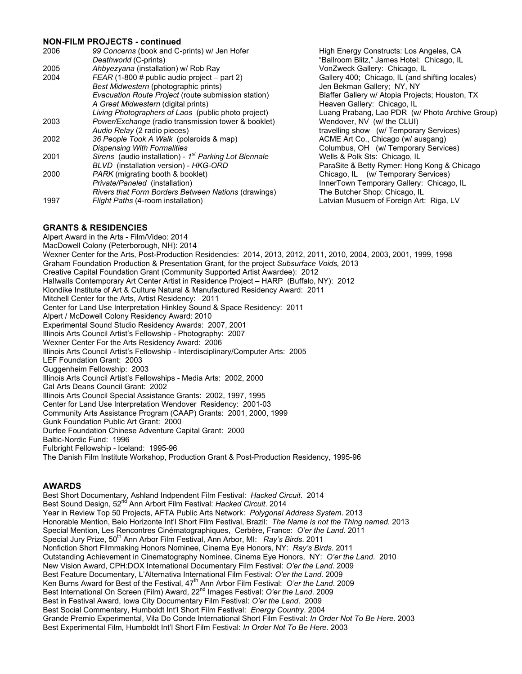#### **NON-FILM PROJECTS - continued**

| 2006 | 99 Concerns (book and C-prints) w/ Jen Hofer<br>Deathworld (C-prints) |
|------|-----------------------------------------------------------------------|
| 2005 | Ahbyezyana (installation) w/ Rob Ray                                  |
| 2004 | $FEAR$ (1-800 # public audio project – part 2)                        |
|      | Best Midwestern (photographic prints)                                 |
|      | Evacuation Route Project (route submission station)                   |
|      | A Great Midwestern (digital prints)                                   |
|      | Living Photographers of Laos (public photo project)                   |
| 2003 | Power/Exchange (radio transmission tower & booklet)                   |
|      | Audio Relay (2 radio pieces)                                          |
| 2002 | 36 People Took A Walk (polaroids & map)                               |
|      | <b>Dispensing With Formalities</b>                                    |
| 2001 | Sirens (audio installation) - 1 <sup>st</sup> Parking Lot Biennale    |
|      | BLVD (installation version) - HKG-ORD                                 |
| 2000 | PARK (migrating booth & booklet)                                      |
|      | Private/Paneled (installation)                                        |
|      | Rivers that Form Borders Between Nations (drawings)                   |
| 1997 | Flight Paths (4-room installation)                                    |
|      |                                                                       |

**High Energy Constructs: Los Angeles, CA** "Ballroom Blitz," James Hotel: Chicago, IL VonZweck Gallery: Chicago, IL Gallery 400; Chicago, IL (and shifting locales) Jen Bekman Gallery; NY, NY **Elaffer Gallery w/ Atopia Projects; Houston, TX Heaven Gallery: Chicago, IL** Luang Prabang, Lao PDR (w/ Photo Archive Group) Wendover, NV (w/ the CLUI) travelling show (w/ Temporary Services) ACME Art Co., Chicago (w/ ausgang) *Dispensing With Formalities* Columbus, OH (w/ Temporary Services) Wells & Polk Sts: Chicago, IL **ParaSite & Betty Rymer: Hong Kong & Chicago** Chicago, IL (w/ Temporary Services) **InnerTown Temporary Gallery: Chicago, IL** The Butcher Shop: Chicago, IL Latvian Musuem of Foreign Art: Riga, LV

## **GRANTS & RESIDENCIES**

Alpert Award in the Arts - Film/Video: 2014 MacDowell Colony (Peterborough, NH): 2014 Wexner Center for the Arts, Post-Production Residencies: 2014, 2013, 2012, 2011, 2010, 2004, 2003, 2001, 1999, 1998 Graham Foundation Production & Presentation Grant, for the project *Subsurface Voids,* 2013 Creative Capital Foundation Grant (Community Supported Artist Awardee): 2012 Hallwalls Contemporary Art Center Artist in Residence Project – HARP (Buffalo, NY): 2012 Klondike Institute of Art & Culture Natural & Manufactured Residency Award: 2011 Mitchell Center for the Arts, Artist Residency: 2011 Center for Land Use Interpretation Hinkley Sound & Space Residency: 2011 Alpert / McDowell Colony Residency Award: 2010 Experimental Sound Studio Residency Awards: 2007, 2001 Illinois Arts Council Artist's Fellowship - Photography: 2007 Wexner Center For the Arts Residency Award: 2006 Illinois Arts Council Artist's Fellowship - Interdisciplinary/Computer Arts: 2005 LEF Foundation Grant: 2003 Guggenheim Fellowship: 2003 Illinois Arts Council Artist's Fellowships - Media Arts: 2002, 2000 Cal Arts Deans Council Grant: 2002 Illinois Arts Council Special Assistance Grants: 2002, 1997, 1995 Center for Land Use Interpretation Wendover Residency: 2001-03 Community Arts Assistance Program (CAAP) Grants: 2001, 2000, 1999 Gunk Foundation Public Art Grant: 2000 Durfee Foundation Chinese Adventure Capital Grant: 2000 Baltic-Nordic Fund: 1996 Fulbright Fellowship - Iceland: 1995-96 The Danish Film Institute Workshop, Production Grant & Post-Production Residency, 1995-96

#### **AWARDS**

Best Short Documentary, Ashland Indpendent Film Festival: *Hacked Circuit*. 2014 Best Sound Design, 52<sup>nd</sup> Ann Arbort Film Festival: Hacked Circuit. 2014 Year in Review Top 50 Projects, AFTA Public Arts Network: *Polygonal Address System*. 2013 Honorable Mention, Belo Horizonte Int'l Short Film Festival, Brazil: *The Name is not the Thing named.* 2013 Special Mention, Les Rencontres Cinématographiques, Cerbère, France: *O'er the Land.* 2011 Special Jury Prize, 50<sup>th</sup> Ann Arbor Film Festival, Ann Arbor, MI: *Ray's Birds.* 2011 Nonfiction Short Filmmaking Honors Nominee, Cinema Eye Honors, NY: *Ray's Birds*. 2011 Outstanding Achievement in Cinematography Nominee, Cinema Eye Honors, NY: *O'er the Land*. 2010 New Vision Award, CPH:DOX International Documentary Film Festival: *O'er the Land*. 2009 Best Feature Documentary, L'Alternativa International Film Festival: *O'er the Land*. 2009 Ken Burns Award for Best of the Festival, 47<sup>th</sup> Ann Arbor Film Festival: O'er the Land. 2009 Best International On Screen (Film) Award, 22<sup>nd</sup> Images Festival: O'er the Land. 2009 Best in Festival Award, Iowa City Documentary Film Festival: *O'er the Land*. 2009 Best Social Commentary, Humboldt Int'l Short Film Festival: *Energy Country*. 2004 Grande Premio Experimental, Vila Do Conde International Short Film Festival: *In Order Not To Be Here*. 2003 Best Experimental Film, Humboldt Int'l Short Film Festival: *In Order Not To Be Here*. 2003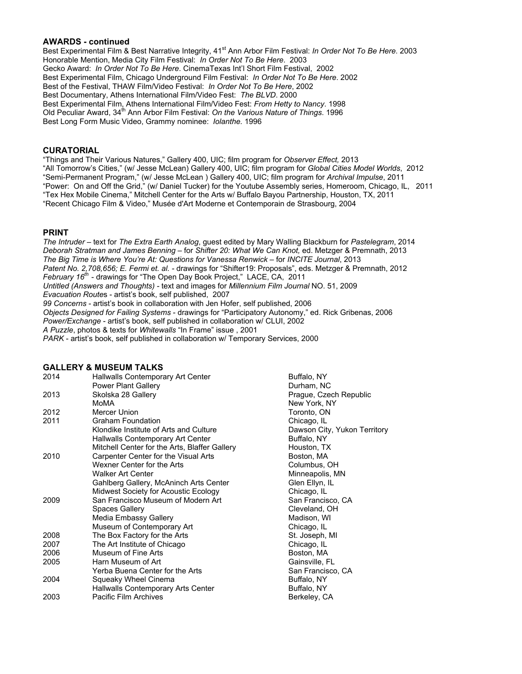#### **AWARDS - continued**

Best Experimental Film & Best Narrative Integrity, 41<sup>st</sup> Ann Arbor Film Festival: *In Order Not To Be Here*. 2003 Honorable Mention, Media City Film Festival: *In Order Not To Be Here*. 2003 Gecko Award: *In Order Not To Be Here*. CinemaTexas Int'l Short Film Festival, 2002 Best Experimental Film, Chicago Underground Film Festival: *In Order Not To Be Here*. 2002 Best of the Festival, THAW Film/Video Festival: *In Order Not To Be Here*, 2002 Best Documentary, Athens International Film/Video Fest: *The BLVD*. 2000 Best Experimental Film, Athens International Film/Video Fest: *From Hetty to Nancy*. 1998 Old Peculiar Award, 34<sup>th</sup> Ann Arbor Film Festival: On the Various Nature of Things. 1996 Best Long Form Music Video, Grammy nominee: *Iolanthe.* 1996

#### **CURATORIAL**

"Things and Their Various Natures," Gallery 400, UIC; film program for *Observer Effect,* 2013 "All Tomorrow's Cities," (w/ Jesse McLean) Gallery 400, UIC; film program for *Global Cities Model Worlds*, 2012 "Semi-Permanent Program," (w/ Jesse McLean ) Gallery 400, UIC; film program for *Archival Impulse*, 2011 "Power: On and Off the Grid," (w/ Daniel Tucker) for the Youtube Assembly series, Homeroom, Chicago, IL, 2011 "Tex Hex Mobile Cinema," Mitchell Center for the Arts w/ Buffalo Bayou Partnership, Houston, TX, 2011 "Recent Chicago Film & Video," Musée d'Art Moderne et Contemporain de Strasbourg, 2004

#### **PRINT**

*The Intruder* – text for *The Extra Earth Analog*, guest edited by Mary Walling Blackburn for *Pastelegram*, 2014 *Deborah Stratman and James Benning* – for *Shifter 20: What We Can Knot,* ed. Metzger & Premnath, 2013 *The Big Time is Where You're At: Questions for Vanessa Renwick* – for *INCITE Journal*, 2013 *Patent No. 2,708,656; E. Fermi et. al. -* drawings for "Shifter19: Proposals", eds. Metzger & Premnath, 2012 *February 16th* - drawings for "The Open Day Book Project," LACE, CA, 2011 *Untitled (Answers and Thoughts) -* text and images for *Millennium Film Journal* NO. 51, 2009 *Evacuation Route*s - artist's book, self published, 2007 *99 Concerns* - artist's book in collaboration with Jen Hofer, self published, 2006 *Objects Designed for Failing Systems* - drawings for "Participatory Autonomy," ed. Rick Gribenas, 2006 *Power/Exchange* - artist's book, self published in collaboration w/ CLUI, 2002 *A Puzzle*, photos & texts for *Whitewalls* "In Frame" issue , 2001

*PARK* - artist's book, self published in collaboration w/ Temporary Services, 2000

#### **GALLERY & MUSEUM TALKS**

| Hallwalls Contemporary Art Center             | Buffalo, NY                                                                                     |
|-----------------------------------------------|-------------------------------------------------------------------------------------------------|
| <b>Power Plant Gallery</b>                    | Durham, NC                                                                                      |
| Skolska 28 Gallery                            | Prague, Czech Republic                                                                          |
| MoMA                                          | New York, NY                                                                                    |
| Mercer Union                                  | Toronto, ON                                                                                     |
| <b>Graham Foundation</b>                      | Chicago, IL                                                                                     |
| Klondike Institute of Arts and Culture        | Dawson City, Yukon Territory                                                                    |
|                                               | Buffalo, NY                                                                                     |
| Mitchell Center for the Arts, Blaffer Gallery | Houston, TX                                                                                     |
| Carpenter Center for the Visual Arts          | Boston, MA                                                                                      |
| Wexner Center for the Arts                    | Columbus, OH                                                                                    |
| <b>Walker Art Center</b>                      | Minneapolis, MN                                                                                 |
| Gahlberg Gallery, McAninch Arts Center        | Glen Ellyn, IL                                                                                  |
| Midwest Society for Acoustic Ecology          | Chicago, IL                                                                                     |
| San Francisco Museum of Modern Art            | San Francisco, CA                                                                               |
| Spaces Gallery                                | Cleveland, OH                                                                                   |
| Media Embassy Gallery                         | Madison, WI                                                                                     |
| Museum of Contemporary Art                    | Chicago, IL                                                                                     |
| The Box Factory for the Arts                  | St. Joseph, MI                                                                                  |
| The Art Institute of Chicago                  | Chicago, IL                                                                                     |
| Museum of Fine Arts                           | Boston, MA                                                                                      |
| Harn Museum of Art                            | Gainsville, FL                                                                                  |
| Yerba Buena Center for the Arts               | San Francisco, CA                                                                               |
|                                               | Buffalo, NY                                                                                     |
|                                               | Buffalo, NY                                                                                     |
| Pacific Film Archives                         | Berkeley, CA                                                                                    |
|                                               | Hallwalls Contemporary Art Center<br>Squeaky Wheel Cinema<br>Hallwalls Contemporary Arts Center |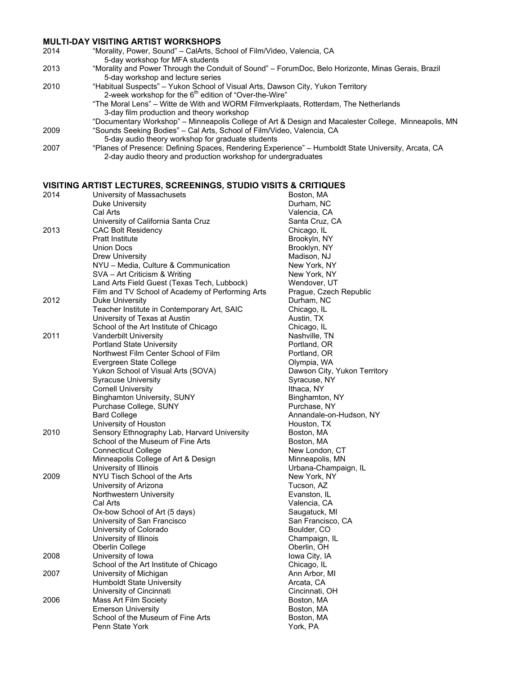#### **MULTI-DAY VISITING ARTIST WORKSHOPS**

| 2014 | "Morality, Power, Sound" – CalArts, School of Film/Video, Valencia, CA                                                                  |
|------|-----------------------------------------------------------------------------------------------------------------------------------------|
|      | 5-day workshop for MFA students                                                                                                         |
| 2013 | "Morality and Power Through the Conduit of Sound" - ForumDoc, Belo Horizonte, Minas Gerais, Brazil<br>5-day workshop and lecture series |
| 2010 | "Habitual Suspects" – Yukon School of Visual Arts, Dawson City, Yukon Territory                                                         |
|      | 2-week workshop for the 6 <sup>th</sup> edition of "Over-the-Wire"                                                                      |
|      | "The Moral Lens" – Witte de With and WORM Filmverkplaats, Rotterdam, The Netherlands                                                    |
|      | 3-day film production and theory workshop                                                                                               |
|      | "Documentary Workshop" – Minneapolis College of Art & Design and Macalester College, Minneapolis, MN                                    |
| 2009 | "Sounds Seeking Bodies" – Cal Arts, School of Film/Video, Valencia, CA                                                                  |
|      | 5-day audio theory workshop for graduate students                                                                                       |
| 2007 | "Planes of Presence: Defining Spaces, Rendering Experience" – Humboldt State University, Arcata, CA                                     |
|      | 2-day audio theory and production workshop for undergraduates                                                                           |

## **VISITING ARTIST LECTURES, SCREENINGS, STUDIO VISITS & CRITIQUES**<br>2014 **Maxway Lipiyersity of Massachusets**

| 2014 | University of Massachusets                          | Boston, MA                  |
|------|-----------------------------------------------------|-----------------------------|
|      | Duke University<br>Cal Arts                         | Durham, NC<br>Valencia, C/  |
|      |                                                     |                             |
| 2013 | University of California Santa Cruz                 | Santa Cruz,                 |
|      | <b>CAC Bolt Residency</b><br><b>Pratt Institute</b> | Chicago, IL<br>Brookyln, N' |
|      | <b>Union Docs</b>                                   |                             |
|      | <b>Drew University</b>                              | Brooklyn, N'                |
|      | NYU - Media, Culture & Communication                | Madison, NJ<br>New York, N  |
|      | SVA - Art Criticism & Writing                       | New York, N                 |
|      | Land Arts Field Guest (Texas Tech, Lubbock)         | Wendover, l                 |
|      | Film and TV School of Academy of Performing Arts    | Prague, Cze                 |
| 2012 | Duke University                                     | Durham, NC                  |
|      | Teacher Institute in Contemporary Art, SAIC         | Chicago, IL                 |
|      | University of Texas at Austin                       | Austin, TX                  |
|      | School of the Art Institute of Chicago              | Chicago, IL                 |
| 2011 | Vanderbilt University                               | Nashville, Tl               |
|      | <b>Portland State University</b>                    | Portland, OF                |
|      | Northwest Film Center School of Film                | Portland, OF                |
|      | Evergreen State College                             | Olympia, W                  |
|      | Yukon School of Visual Arts (SOVA)                  | Dawson City                 |
|      | <b>Syracuse University</b>                          | Syracuse, N                 |
|      | <b>Cornell University</b>                           | Ithaca, NY                  |
|      | <b>Binghamton University, SUNY</b>                  | Binghamton                  |
|      | Purchase College, SUNY                              | Purchase, N                 |
|      | <b>Bard College</b>                                 | Annandale-o                 |
|      | University of Houston                               | Houston, TX                 |
| 2010 | Sensory Ethnography Lab, Harvard University         | Boston, MA                  |
|      | School of the Museum of Fine Arts                   | Boston, MA                  |
|      | <b>Connecticut College</b>                          | New Londor                  |
|      | Minneapolis College of Art & Design                 | Minneapolis                 |
|      | University of Illinois                              | Urbana-Cha                  |
| 2009 | NYU Tisch School of the Arts                        | New York, N                 |
|      | University of Arizona                               | Tucson, AZ                  |
|      | Northwestern University                             | Evanston, IL                |
|      | Cal Arts                                            | Valencia, C/                |
|      | Ox-bow School of Art (5 days)                       | Saugatuck,                  |
|      | University of San Francisco                         | San Francis                 |
|      | University of Colorado                              | Boulder, CO                 |
|      | University of Illinois                              | Champaign,                  |
|      | Oberlin College                                     | Oberlin, OH                 |
| 2008 | University of Iowa                                  | lowa City, IA               |
|      | School of the Art Institute of Chicago              | Chicago, IL                 |
| 2007 | University of Michigan                              | Ann Arbor, N                |
|      | <b>Humboldt State University</b>                    | Arcata, CA                  |
|      | University of Cincinnati                            | Cincinnati, C               |
| 2006 | Mass Art Film Society<br><b>Emerson University</b>  | Boston, MA                  |
|      | School of the Museum of Fine Arts                   | Boston, MA                  |
|      | Penn State York                                     | Boston, MA<br>York, PA      |
|      |                                                     |                             |

Durham, NC Valencia, CA Santa Cruz, CA Chicago, IL Brookyln, NY Brooklyn, NY Madison, NJ New York, NY New York, NY Wendover, UT Praque, Czech Republic Durham, NC Chicago, IL Austin, TX Chicago, IL Nashville, TN Portland, OR Portland, OR Olympia, WA Dawson City, Yukon Territory Syracuse, NY Ithaca, NY Binghamton, NY Purchase, NY Annandale-on-Hudson, NY Houston, TX Boston, MA Boston, MA New London, CT Minneapolis, MN Urbana-Champaign, IL New York, NY Tucson, AZ Evanston, IL Valencia, CA Saugatuck, MI San Francisco, CA Boulder, CO Champaign, IL Oberlin, OH Iowa City, IA Chicago, IL Ann Arbor, MI Arcata, CA Cincinnati, OH Boston, MA Boston, MA Boston, MA